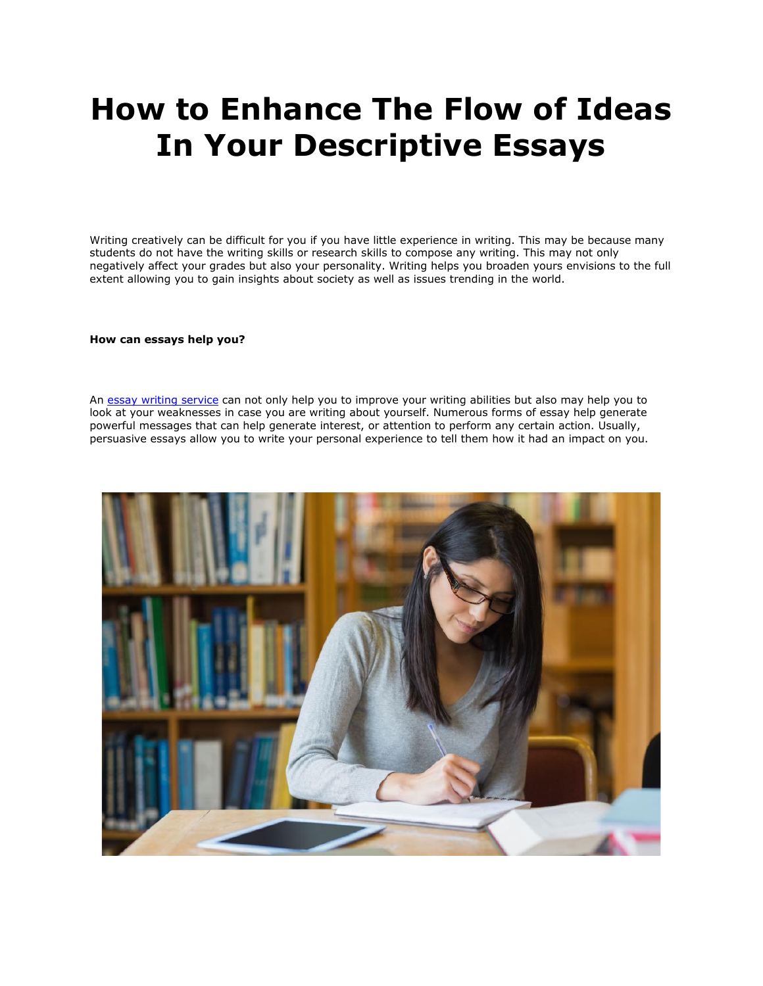# **How to Enhance The Flow of Ideas In Your Descriptive Essays**

Writing creatively can be difficult for you if you have little experience in writing. This may be because many students do not have the writing skills or research skills to compose any writing. This may not only negatively affect your grades but also your personality. Writing helps you broaden yours envisions to the full extent allowing you to gain insights about society as well as issues trending in the world.

**How can essays help you?**

An [essay writing service](https://www.essaywritingservice.college/) can not only help you to improve your writing abilities but also may help you to look at your weaknesses in case you are writing about yourself. Numerous forms of essay help generate powerful messages that can help generate interest, or attention to perform any certain action. Usually, persuasive essays allow you to write your personal experience to tell them how it had an impact on you.

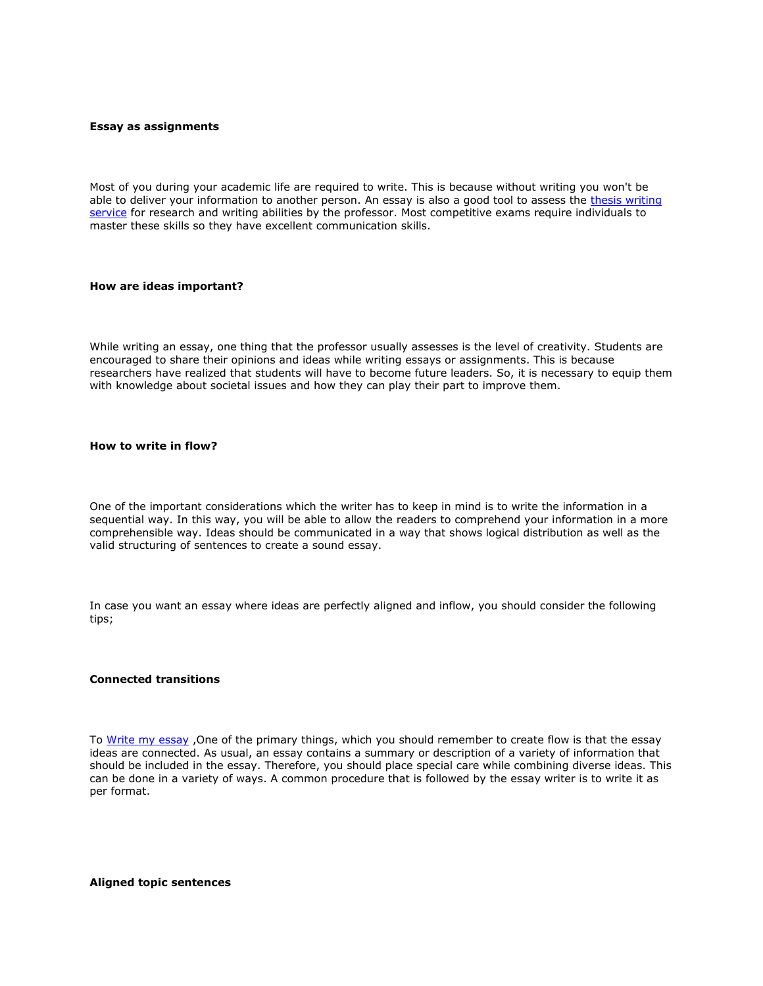#### **Essay as assignments**

Most of you during your academic life are required to write. This is because without writing you won't be able to deliver your information to another person. An essay is also a good tool to assess the thesis writing [service](https://www.gradschoolgenius.com/thesis-writing-service) for research and writing abilities by the professor. Most competitive exams require individuals to master these skills so they have excellent communication skills.

#### **How are ideas important?**

While writing an essay, one thing that the professor usually assesses is the level of creativity. Students are encouraged to share their opinions and ideas while writing essays or assignments. This is because researchers have realized that students will have to become future leaders. So, it is necessary to equip them with knowledge about societal issues and how they can play their part to improve them.

#### **How to write in flow?**

One of the important considerations which the writer has to keep in mind is to write the information in a sequential way. In this way, you will be able to allow the readers to comprehend your information in a more comprehensible way. Ideas should be communicated in a way that shows logical distribution as well as the valid structuring of sentences to create a sound essay.

In case you want an essay where ideas are perfectly aligned and inflow, you should consider the following tips;

### **Connected transitions**

To [Write my essay](https://www.myperfectpaper.net/) , One of the primary things, which you should remember to create flow is that the essay ideas are connected. As usual, an essay contains a summary or description of a variety of information that should be included in the essay. Therefore, you should place special care while combining diverse ideas. This can be done in a variety of ways. A common procedure that is followed by the essay writer is to write it as per format.

**Aligned topic sentences**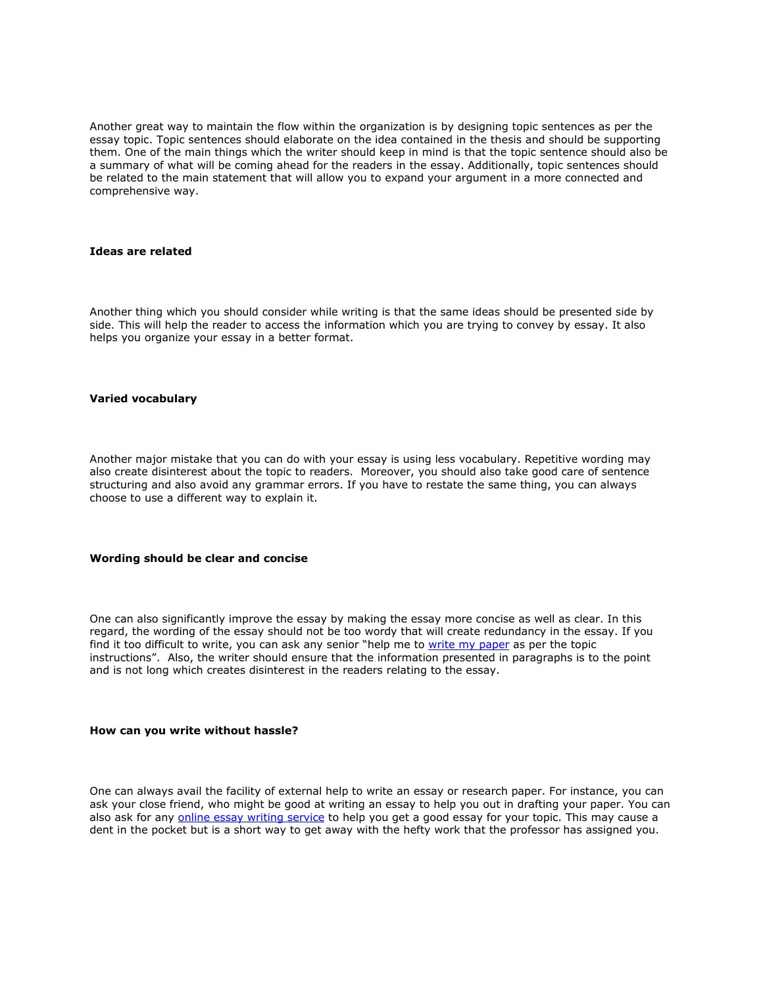Another great way to maintain the flow within the organization is by designing topic sentences as per the essay topic. Topic sentences should elaborate on the idea contained in the thesis and should be supporting them. One of the main things which the writer should keep in mind is that the topic sentence should also be a summary of what will be coming ahead for the readers in the essay. Additionally, topic sentences should be related to the main statement that will allow you to expand your argument in a more connected and comprehensive way.

#### **Ideas are related**

Another thing which you should consider while writing is that the same ideas should be presented side by side. This will help the reader to access the information which you are trying to convey by essay. It also helps you organize your essay in a better format.

#### **Varied vocabulary**

Another major mistake that you can do with your essay is using less vocabulary. Repetitive wording may also create disinterest about the topic to readers. Moreover, you should also take good care of sentence structuring and also avoid any grammar errors. If you have to restate the same thing, you can always choose to use a different way to explain it.

#### **Wording should be clear and concise**

One can also significantly improve the essay by making the essay more concise as well as clear. In this regard, the wording of the essay should not be too wordy that will create redundancy in the essay. If you find it too difficult to write, you can ask any senior "help me to [write my paper](https://www.collegeessay.org/) as per the topic instructions". Also, the writer should ensure that the information presented in paragraphs is to the point and is not long which creates disinterest in the readers relating to the essay.

#### **How can you write without hassle?**

One can always avail the facility of external help to write an essay or research paper. For instance, you can ask your close friend, who might be good at writing an essay to help you out in drafting your paper. You can also ask for any [online essay writing service](https://www.essaywritingservice.college/) to help you get a good essay for your topic. This may cause a dent in the pocket but is a short way to get away with the hefty work that the professor has assigned you.